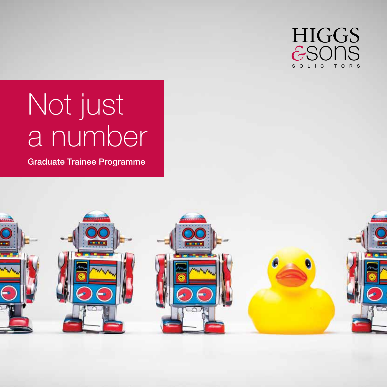

# Not just a number

Graduate Trainee Programme

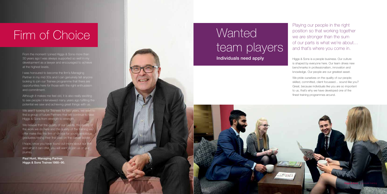## **Wanted** team players Individuals need apply

Playing our people in the right position so that working together we are stronger than the sum of our parts is what we're about… and that's where you come in.

Higgs & Sons is a people business. Our culture is shaped by everyone here. Our team drives new benchmarks in professionalism, innovation and knowledge. Our people are our greatest asset.

We pride ourselves on the quality of our people: skilled, committed, client focussed… sound like you? Great, because individuals like you are so important to us, that's why we have developed one of the finest training programmes around.

From the moment I joined Higgs & Sons more than 30 years ago I was always supported so well in my development as a lawyer and encouraged to achieve at the highest levels.

We believe that the quality of our clients, the quality of the work we do here and the quality of the training we offer make this the firm of choice for young ambitious graduates taking their first step on the career ladder.

I was honoured to become the firm's Managing Partner in my mid 30s and I can genuinely tell anyone looking to join our Trainee programme that there are opportunities here for those with the right enthusiasm and commitment.

Although it makes me feel old, it is also really exciting to see people I interviewed many years ago fulfilling the potential we saw and achieving great things with us.

We aren't looking for Trainees for two years, we want to find a group of future Partners that will continue to take Higgs & Sons from strength to strength.

I hope, once you have found out more about our firm and what it can offer, you will want to join us on our journey.

Paul Hunt, Managing Partner. Higgs & Sons Trainee 1988–90.

# Firm of Choice

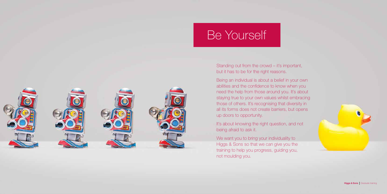# Be Yourself

Standing out from the crowd – it's important, but it has to be for the right reasons.

Being an individual is about a belief in your own abilities and the confidence to know when you need the help from those around you. It's about staying true to your own values whilst embracing those of others. It's recognising that diversity in all its forms does not create barriers, but opens up doors to opportunity.

We want you to bring your individuality to Higgs & Sons so that we can give you the training to help you progress, guiding you, not moulding you.





It's about knowing the right question, and not being afraid to ask it.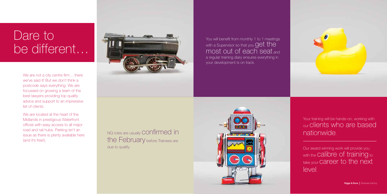We are not a city centre firm... there we've said it! But we don't think a postcode says everything. We are focussed on growing a team of the best lawyers providing top quality advice and support to an impressive list of clients.

> Your training will be hands-on, working with our clients who are based nationwide.

We are located at the heart of the Midlands in prestigious Waterfront offices with easy access to all major road and rail hubs. Parking isn't an issue as there is plenty available here (and it's free!).



NQ roles are usually CONTIT Med in the February before Trainees are due to qualify.

You will benefit from monthly 1 to 1 meetings with a Supervisor so that you  $\operatorname{get}$  the most out of each seat and a regular training diary ensures everything in your development is on track.





# Dare to be different…

Our award winning work will provide you with the **Calibre** of training to take your career to the next level.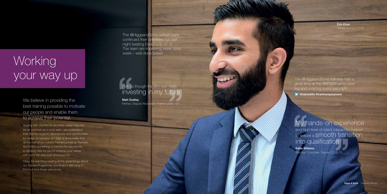We believe in providing the best training possible to motivate our people and enable them to achieve their potential.

Staying with one firm for an entire career may not be as common as it once was – we understand that. But the support, experiences and opportunities for career progression at Higgs & Sons mean that almost half of our current Partners joined as Trainees. So if that's something of interest the opportunity is certainly here for you to continue your career with us to the next level (and beyond).

# **Working** your way up

My hands-on experience and high level of client interaction helped to ensure a smooth transition into qualification

Okay, it's one thing reading all the great things about our Trainee Programme, but what's it like living it? Find out from those who know.

Matt Dudley Partner, Dispute Resolution. Trainee 2005–07

The @HiggsandSons netball team continued their unbeaten run last night beating Eversheds 47-5! The team are improving week upon week – well done ladies!

## I felt as though the firm was really investing in my future

The @HiggsandSons trainees had a great time at the @BTSSEvents laser tag and v-racing event last night

**y** #traineelife #trainhardplayhard

Katie Willems Solicitor, Corporate. Trainee 2013 –15

V ,

V)

Zeb Khan Trainee Solicitor 2018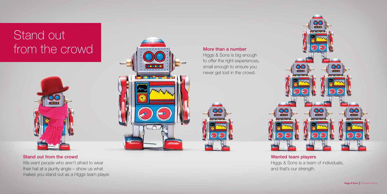# Stand out from the crowd



## Wanted team players

Higgs & Sons is a team of individuals, and that's our strength.

## More than a number

Higgs & Sons is big enough to offer the right experiences, small enough to ensure you never get lost in the crowd.







## Stand out from the crowd

We want people who aren't afraid to wear their hat at a jaunty angle – show us what makes you stand out as a Higgs team player.

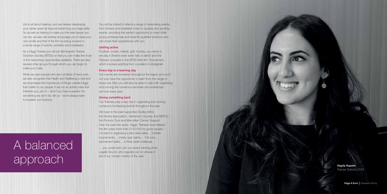You will be invited to attend a range of networking events, from dinners and breakfast clubs to quizzes and sporting events, providing the perfect opportunity to meet other young professionals and recently qualified solicitors who can share their experiences with you.

### Getting active

Football, cricket, netball, golf, hockey; you name it, we play it (there's even been talk of darts!) and the Trainees compete in the BTSS Inter-firm Tournament, which involves anything from rounders to dodgeball.

### Every day is a learning day

We have in the past supported Dudley Mind, the Stroke Association, Alzheimer's Society, the NSPCC, the Prince's Trust and Macmillan Cancer Support. Over the past five years, Higgs' Trainees have helped the firm raise more than £100,000 for good causes – not bad for organising a few cake sales… football tournaments… charity quiz nights… 10k runs… sponsored walks… a three peak challenge…

Our events are renowned throughout the region and you'll not only have the opportunity to learn from the range of topics we offer, you will also be able to help with organising and running the numerous seminars and workshops we host every year.

### Giving something back

Our Trainees play a key role in organising and running numerous fundraising events throughout the year.

… you could even join our award winning choir, Legally Sound, who regularly put on shows in aid of our chosen charity of the year.

Life is all about balance, and we believe developing your career goes far beyond advancing your legal skills. So as well as helping to make you the best lawyer you can be, we also will actively encourage you to raise your own profile and that of the firm by being involved in a whole range of events, activities and fundraisers.

As a Higgs Trainee you will join Birmingham Trainee Solicitors Society (BTSS) so that you can make the most of the networking opportunities available. There are also several other groups through which you can begin to make your mark.

While we want people who are not afraid of hard work, we also recognise that Health and Wellbeing is vital and we emphasise the importance of things outside Higgs that matter to our people. If we run an activity here that interests you, join in – and if you have a passion for something we don't do, tell us – we're always keen to broaden our horizons.

# A balanced aid of our chosen charity of the year.

Trainee Solicitor 2018

Higgs & Sons | Graduate training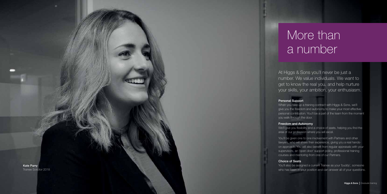At Higgs & Sons you'll never be just a number. We value individuals. We want to get to know the real you, and help nurture your skills, your ambition, your enthusiasm.

When you take up a training contract with Higgs & Sons, we'll give you the freedom and autonomy to make your most effective personal contribution. You'll be a part of the team from the moment you walk through the door.

### Freedom and Autonomy

You'll be given one to one involvement with Partners and other lawyers, who will share their experience, giving you a real handson approach. You will also benefit from regular appraisals with your supervisors, an 'open door' support policy, professional training courses and mentoring from one of our Partners.

We'll give you flexibility and a choice of seats, helping you find the area of our profession where you will excel.



You'll also be assigned a current Trainee as your 'buddy', someone who has been in your position and can answer all of your questions.

# More than a number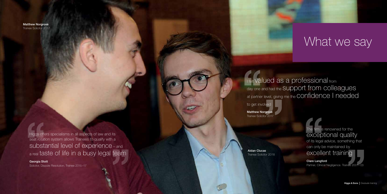## Clare Langford Partner, Clinical Negligence. Trainee 2001– 03

Matthew Norgrove Trainee Solicitor 2017

> Aidan Clucas Trainee Solicitor 2018

# What we say

## day one and had the SUPPOrt from colleagues at partner level, giving me the CONTIDENCE | needed

Higgs offers specialisms in all aspects of law and its seat rotation system allows Trainees to qualify with a substantial level of experience - and a real taste of life in a busy legal team

Georgia Stott Solicitor, Dispute Resolution. Trainee 2015–17 I felt Valued as a professional from

to get involved

Matthew Norgrove Trainee Solicitor 2017

> The firm is renowned for the exceptional quality of its legal advice, something that can only be maintained by excellent training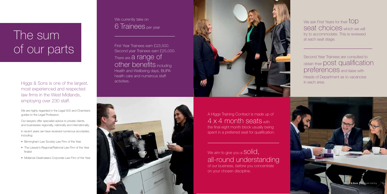Higgs & Sons is one of the largest, most experienced and respected law firms in the West Midlands, employing over 230 staff.

We are highly regarded in the Legal 500 and Chambers guides to the Legal Profession.

Our lawyers offer specialist advice to private clients and businesses regionally, nationally and internationally.

In recent years we have received numerous accolades, including:

> We aim to give you a  $\text{solid}$ , all-round understanding of our business, before you concentrate on your chosen discipline.

We currently take on 6 Trainees per year

- Birmingham Law Society Law Firm of the Year
- The Lawyer's Regional/National Law Firm of the Year finalist
- Midlands Dealmakers Corporate Law Firm of the Year

# The sum of our parts

We ask First Years for their  $\text{top}$ seat choices which we will try to accommodate. This is reviewed at each seat stage.

A Higgs Training Contract is made up of  $4 \times 4$  month seats with the final eight month block usually being spent in a preferred seat for qualification.

First Year Trainees earn £23,500. Second year Trainees earn £25,000. There are a range of other benefits including Health and Wellbeing days, BUPA health care and numerous staff activities.





Second Year Trainees are consulted to obtain their post qualification preferences and liaise with Heads of Department as to vacancies in each area.

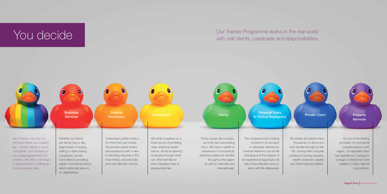Our Trainee Programme works in the real world Our Trainee Programme works in the real world with real clients, caseloads and responsibilities.



We advise and assist many thousands of clients and their families throughout the UK, solving often complex problems involving property, wealth protection, assets and other financial matters.

**Services** 

As one of the leading providers of commercial property advice in the region, our specialist team has experience in acting for a range of clients from sole traders to major national corporations.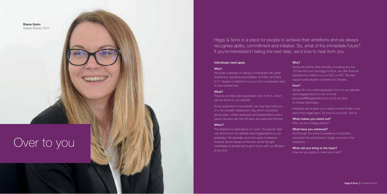Higgs & Sons is a place for people to achieve their ambitions and we always recognise ability, commitment and initiative. So, what of the immediate future? If you're interested in taking the next step, we'd love to hear from you.

### Why?

Along with all the other benefits of working at a top 150 law firm such as Higgs & Sons, we offer financial assistance in relation to your GLD or LPC. We also support paid vacation schemes for Trainees.

### How?

Simply fill in the online application form on our website: www.higgsandsons.co.uk, or email beyourself@higgsandsons.co.uk at any time for further information.

There is an initial online application form to fill in, which can be found on our website.

> Hopefully we've given you a taste of what it's like to be part of the Higgs team. So now it's your turn. Tell us:

### What makes you stand out?

Why you are a Higgs person?

### What have you achieved?

And though the world of academia is important, remember the world doesn't begin and end in the classroom.

### What will you bring to the team?

How are you going to make your mark?

### Individuals need apply

### Who?

We pride ourselves on taking on individuals with great academics, sparkling personalities, ambition and drive. A 2:1 degree is preferred, but you don't necessarily need to have studied law.

### What?

If your application is successful, we may then invite you to a 'be yourself' assessment day which comprises group tasks, written exercises and presentations and a panel interview with the HR team and selected Partners.

### When?

The deadline for applications is in June. The specific date can be found on our website www.higgsandsons.co.uk/ graduates. We generally recruit two years in advance, however we are always on the look out for the right candidates so do feel free to get in touch with our HR team at any time.



# Over to you